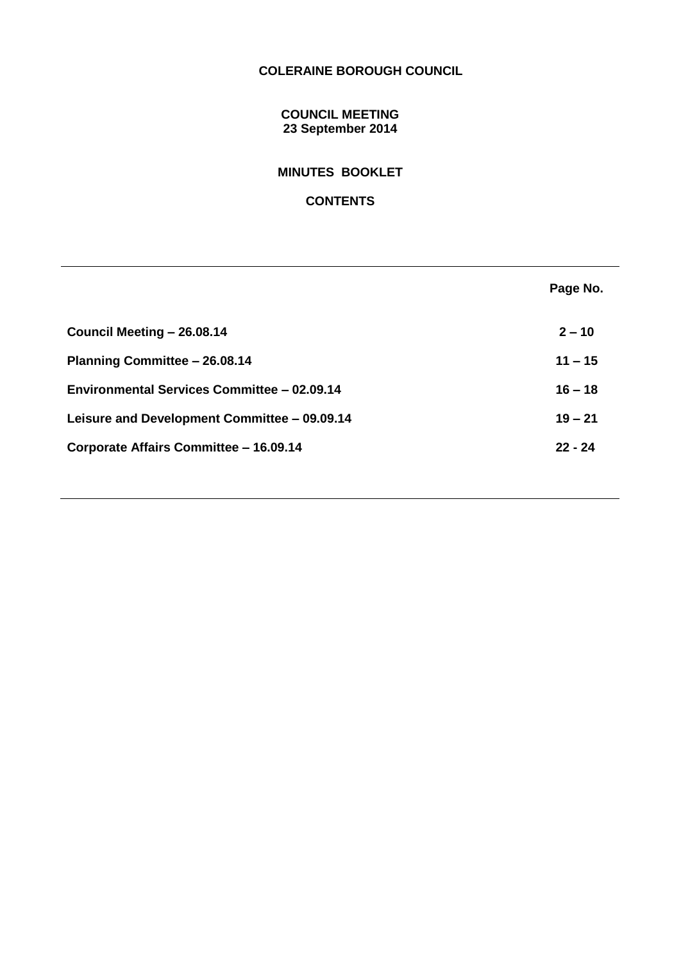# **COLERAINE BOROUGH COUNCIL**

## **COUNCIL MEETING 23 September 2014**

# **MINUTES BOOKLET**

## **CONTENTS**

|                                              | Page No.  |
|----------------------------------------------|-----------|
| Council Meeting - 26.08.14                   | $2 - 10$  |
| Planning Committee - 26.08.14                | $11 - 15$ |
| Environmental Services Committee - 02.09.14  | $16 - 18$ |
| Leisure and Development Committee - 09.09.14 | $19 - 21$ |
| Corporate Affairs Committee - 16.09.14       | $22 - 24$ |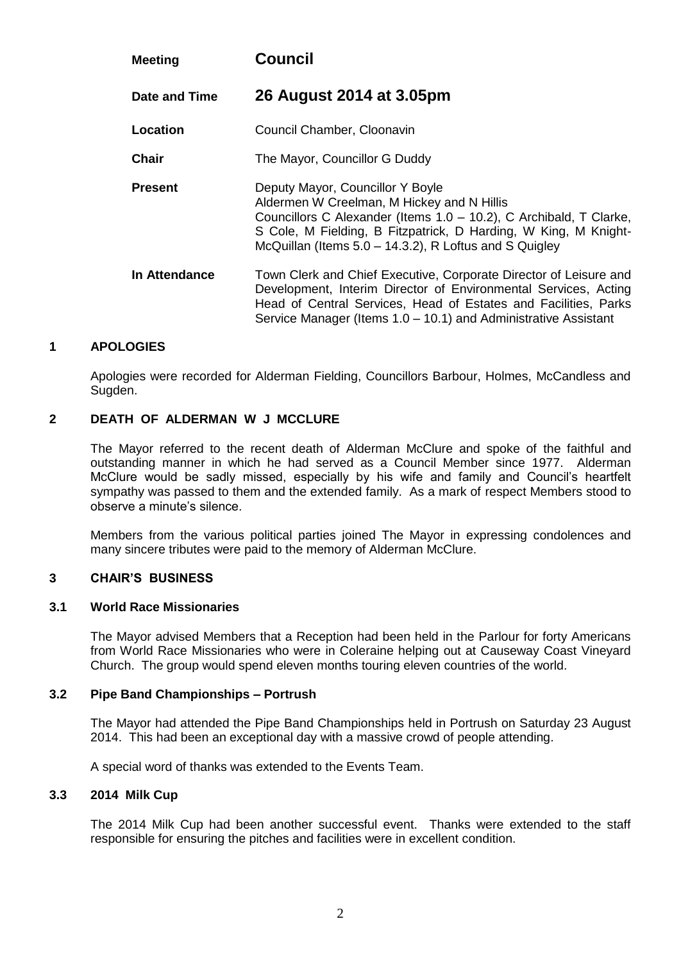| <b>Meeting</b> | <b>Council</b>                                                                                                                                                                                                                                                                    |
|----------------|-----------------------------------------------------------------------------------------------------------------------------------------------------------------------------------------------------------------------------------------------------------------------------------|
| Date and Time  | 26 August 2014 at 3.05pm                                                                                                                                                                                                                                                          |
| Location       | Council Chamber, Cloonavin                                                                                                                                                                                                                                                        |
| <b>Chair</b>   | The Mayor, Councillor G Duddy                                                                                                                                                                                                                                                     |
| <b>Present</b> | Deputy Mayor, Councillor Y Boyle<br>Aldermen W Creelman, M Hickey and N Hillis<br>Councillors C Alexander (Items 1.0 - 10.2), C Archibald, T Clarke,<br>S Cole, M Fielding, B Fitzpatrick, D Harding, W King, M Knight-<br>McQuillan (Items 5.0 – 14.3.2), R Loftus and S Quigley |
| In Attendance  | Town Clerk and Chief Executive, Corporate Director of Leisure and<br>Development, Interim Director of Environmental Services, Acting<br>Head of Central Services, Head of Estates and Facilities, Parks<br>Service Manager (Items 1.0 – 10.1) and Administrative Assistant        |

Apologies were recorded for Alderman Fielding, Councillors Barbour, Holmes, McCandless and Sugden.

### **2 DEATH OF ALDERMAN W J MCCLURE**

The Mayor referred to the recent death of Alderman McClure and spoke of the faithful and outstanding manner in which he had served as a Council Member since 1977. Alderman McClure would be sadly missed, especially by his wife and family and Council's heartfelt sympathy was passed to them and the extended family. As a mark of respect Members stood to observe a minute's silence.

Members from the various political parties joined The Mayor in expressing condolences and many sincere tributes were paid to the memory of Alderman McClure.

#### **3 CHAIR'S BUSINESS**

### **3.1 World Race Missionaries**

The Mayor advised Members that a Reception had been held in the Parlour for forty Americans from World Race Missionaries who were in Coleraine helping out at Causeway Coast Vineyard Church. The group would spend eleven months touring eleven countries of the world.

### **3.2 Pipe Band Championships – Portrush**

The Mayor had attended the Pipe Band Championships held in Portrush on Saturday 23 August 2014. This had been an exceptional day with a massive crowd of people attending.

A special word of thanks was extended to the Events Team.

### **3.3 2014 Milk Cup**

The 2014 Milk Cup had been another successful event. Thanks were extended to the staff responsible for ensuring the pitches and facilities were in excellent condition.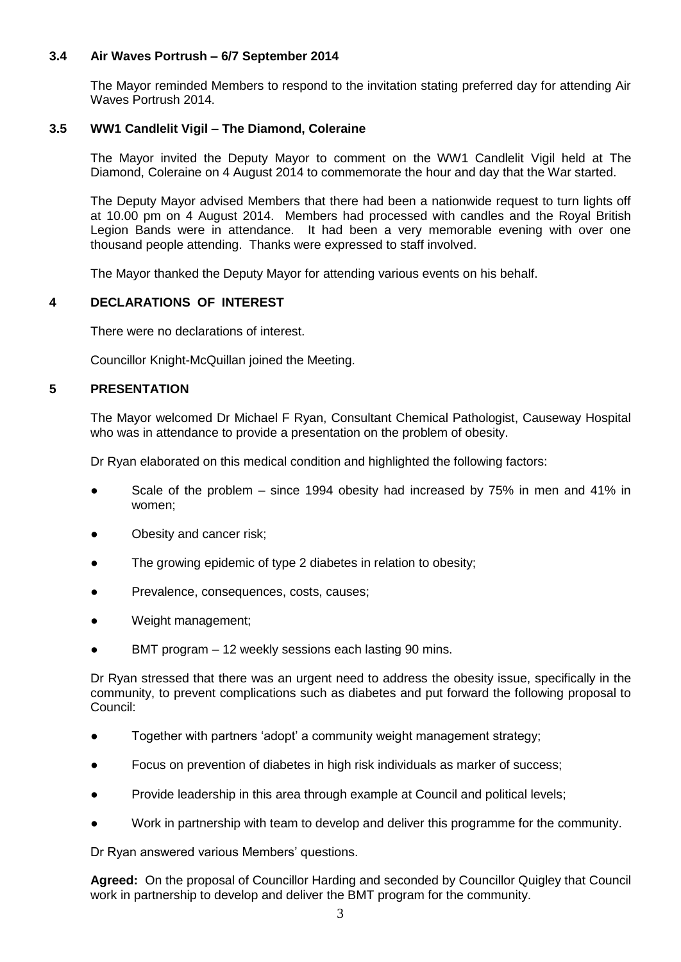## **3.4 Air Waves Portrush – 6/7 September 2014**

The Mayor reminded Members to respond to the invitation stating preferred day for attending Air Waves Portrush 2014.

## **3.5 WW1 Candlelit Vigil – The Diamond, Coleraine**

The Mayor invited the Deputy Mayor to comment on the WW1 Candlelit Vigil held at The Diamond, Coleraine on 4 August 2014 to commemorate the hour and day that the War started.

The Deputy Mayor advised Members that there had been a nationwide request to turn lights off at 10.00 pm on 4 August 2014. Members had processed with candles and the Royal British Legion Bands were in attendance. It had been a very memorable evening with over one thousand people attending. Thanks were expressed to staff involved.

The Mayor thanked the Deputy Mayor for attending various events on his behalf.

## **4 DECLARATIONS OF INTEREST**

There were no declarations of interest.

Councillor Knight-McQuillan joined the Meeting.

### **5 PRESENTATION**

The Mayor welcomed Dr Michael F Ryan, Consultant Chemical Pathologist, Causeway Hospital who was in attendance to provide a presentation on the problem of obesity.

Dr Ryan elaborated on this medical condition and highlighted the following factors:

- Scale of the problem since 1994 obesity had increased by  $75\%$  in men and 41% in women;
- Obesity and cancer risk;
- The growing epidemic of type 2 diabetes in relation to obesity;
- Prevalence, consequences, costs, causes;
- Weight management;
- BMT program 12 weekly sessions each lasting 90 mins.

Dr Ryan stressed that there was an urgent need to address the obesity issue, specifically in the community, to prevent complications such as diabetes and put forward the following proposal to Council:

- Together with partners 'adopt' a community weight management strategy;
- Focus on prevention of diabetes in high risk individuals as marker of success;
- Provide leadership in this area through example at Council and political levels;
- Work in partnership with team to develop and deliver this programme for the community.

Dr Ryan answered various Members' questions.

**Agreed:** On the proposal of Councillor Harding and seconded by Councillor Quigley that Council work in partnership to develop and deliver the BMT program for the community.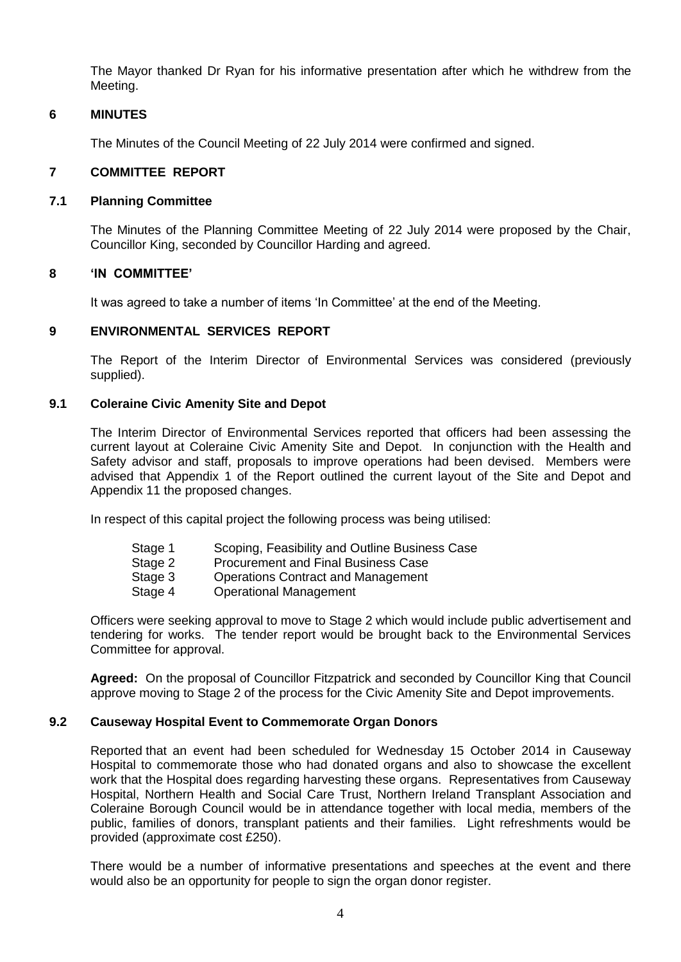The Mayor thanked Dr Ryan for his informative presentation after which he withdrew from the Meeting.

### **6 MINUTES**

The Minutes of the Council Meeting of 22 July 2014 were confirmed and signed.

### **7 COMMITTEE REPORT**

#### **7.1 Planning Committee**

The Minutes of the Planning Committee Meeting of 22 July 2014 were proposed by the Chair, Councillor King, seconded by Councillor Harding and agreed.

### **8 'IN COMMITTEE'**

It was agreed to take a number of items 'In Committee' at the end of the Meeting.

### **9 ENVIRONMENTAL SERVICES REPORT**

The Report of the Interim Director of Environmental Services was considered (previously supplied).

### **9.1 Coleraine Civic Amenity Site and Depot**

The Interim Director of Environmental Services reported that officers had been assessing the current layout at Coleraine Civic Amenity Site and Depot. In conjunction with the Health and Safety advisor and staff, proposals to improve operations had been devised. Members were advised that Appendix 1 of the Report outlined the current layout of the Site and Depot and Appendix 11 the proposed changes.

In respect of this capital project the following process was being utilised:

- Stage 1 Scoping, Feasibility and Outline Business Case
- Stage 2 Procurement and Final Business Case
- Stage 3 Operations Contract and Management
- Stage 4 Operational Management

Officers were seeking approval to move to Stage 2 which would include public advertisement and tendering for works. The tender report would be brought back to the Environmental Services Committee for approval.

**Agreed:** On the proposal of Councillor Fitzpatrick and seconded by Councillor King that Council approve moving to Stage 2 of the process for the Civic Amenity Site and Depot improvements.

### **9.2 Causeway Hospital Event to Commemorate Organ Donors**

Reported that an event had been scheduled for Wednesday 15 October 2014 in Causeway Hospital to commemorate those who had donated organs and also to showcase the excellent work that the Hospital does regarding harvesting these organs. Representatives from Causeway Hospital, Northern Health and Social Care Trust, Northern Ireland Transplant Association and Coleraine Borough Council would be in attendance together with local media, members of the public, families of donors, transplant patients and their families. Light refreshments would be provided (approximate cost £250).

There would be a number of informative presentations and speeches at the event and there would also be an opportunity for people to sign the organ donor register.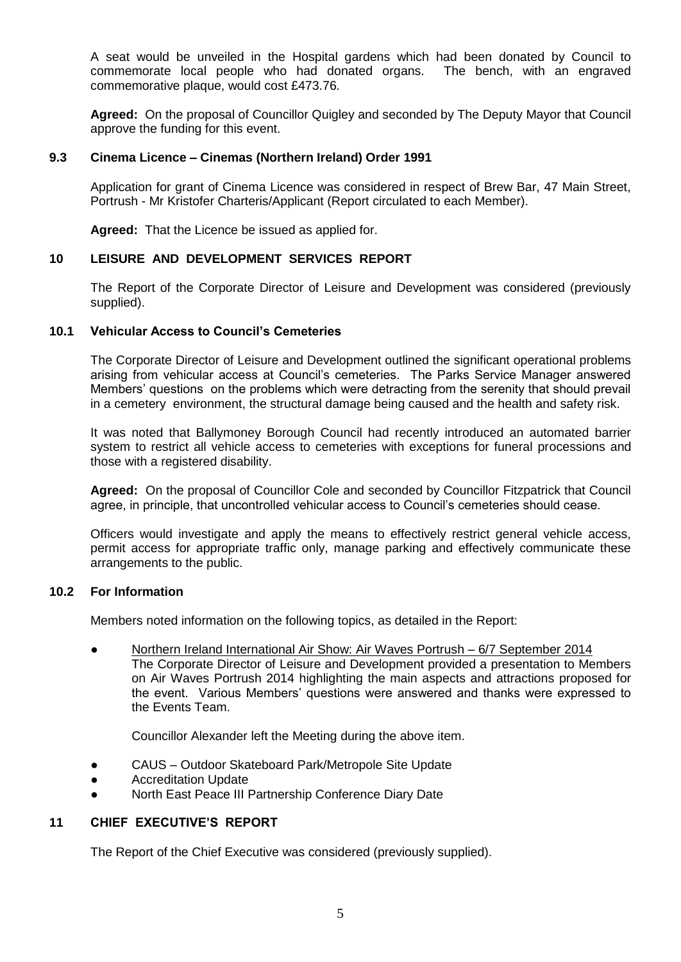A seat would be unveiled in the Hospital gardens which had been donated by Council to commemorate local people who had donated organs. The bench, with an engraved commemorative plaque, would cost £473.76.

**Agreed:** On the proposal of Councillor Quigley and seconded by The Deputy Mayor that Council approve the funding for this event.

### **9.3 Cinema Licence – Cinemas (Northern Ireland) Order 1991**

Application for grant of Cinema Licence was considered in respect of Brew Bar, 47 Main Street, Portrush - Mr Kristofer Charteris/Applicant (Report circulated to each Member).

**Agreed:** That the Licence be issued as applied for.

### **10 LEISURE AND DEVELOPMENT SERVICES REPORT**

The Report of the Corporate Director of Leisure and Development was considered (previously supplied).

### **10.1 Vehicular Access to Council's Cemeteries**

The Corporate Director of Leisure and Development outlined the significant operational problems arising from vehicular access at Council's cemeteries. The Parks Service Manager answered Members' questions on the problems which were detracting from the serenity that should prevail in a cemetery environment, the structural damage being caused and the health and safety risk.

It was noted that Ballymoney Borough Council had recently introduced an automated barrier system to restrict all vehicle access to cemeteries with exceptions for funeral processions and those with a registered disability.

**Agreed:** On the proposal of Councillor Cole and seconded by Councillor Fitzpatrick that Council agree, in principle, that uncontrolled vehicular access to Council's cemeteries should cease.

Officers would investigate and apply the means to effectively restrict general vehicle access, permit access for appropriate traffic only, manage parking and effectively communicate these arrangements to the public.

#### **10.2 For Information**

Members noted information on the following topics, as detailed in the Report:

● Northern Ireland International Air Show: Air Waves Portrush – 6/7 September 2014 The Corporate Director of Leisure and Development provided a presentation to Members on Air Waves Portrush 2014 highlighting the main aspects and attractions proposed for the event. Various Members' questions were answered and thanks were expressed to the Events Team.

Councillor Alexander left the Meeting during the above item.

- CAUS Outdoor Skateboard Park/Metropole Site Update
- **Accreditation Update**
- North East Peace III Partnership Conference Diary Date

### **11 CHIEF EXECUTIVE'S REPORT**

The Report of the Chief Executive was considered (previously supplied).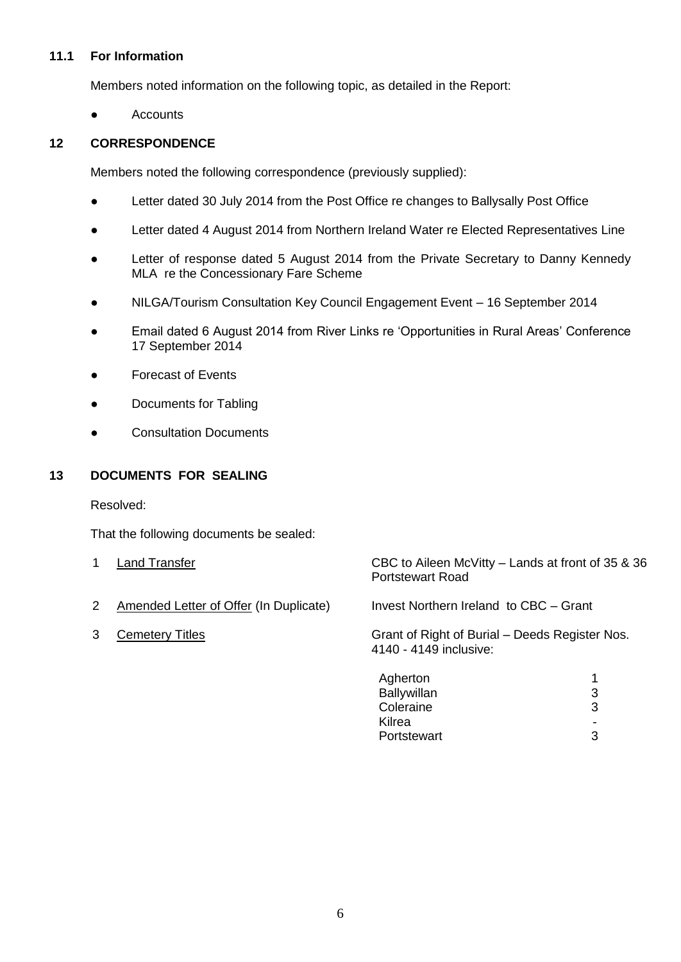## **11.1 For Information**

Members noted information on the following topic, as detailed in the Report:

● Accounts

## **12 CORRESPONDENCE**

Members noted the following correspondence (previously supplied):

- Letter dated 30 July 2014 from the Post Office re changes to Ballysally Post Office
- Letter dated 4 August 2014 from Northern Ireland Water re Elected Representatives Line
- Letter of response dated 5 August 2014 from the Private Secretary to Danny Kennedy MLA re the Concessionary Fare Scheme
- NILGA/Tourism Consultation Key Council Engagement Event 16 September 2014
- Email dated 6 August 2014 from River Links re 'Opportunities in Rural Areas' Conference 17 September 2014
- **Forecast of Events**
- Documents for Tabling
- Consultation Documents

## **13 DOCUMENTS FOR SEALING**

Resolved:

That the following documents be sealed:

|   | Land Transfer                                 | CBC to Aileen McVitty – Lands at front of 35 & 36<br><b>Portstewart Road</b> |   |
|---|-----------------------------------------------|------------------------------------------------------------------------------|---|
| 2 | <b>Amended Letter of Offer (In Duplicate)</b> | Invest Northern Ireland to CBC - Grant                                       |   |
| 3 | <b>Cemetery Titles</b>                        | Grant of Right of Burial - Deeds Register Nos.<br>4140 - 4149 inclusive:     |   |
|   |                                               | Agherton                                                                     |   |
|   |                                               | Ballywillan                                                                  | 3 |
|   |                                               | Coleraine                                                                    | 3 |
|   |                                               | Kilrea                                                                       |   |

-

Portstewart 3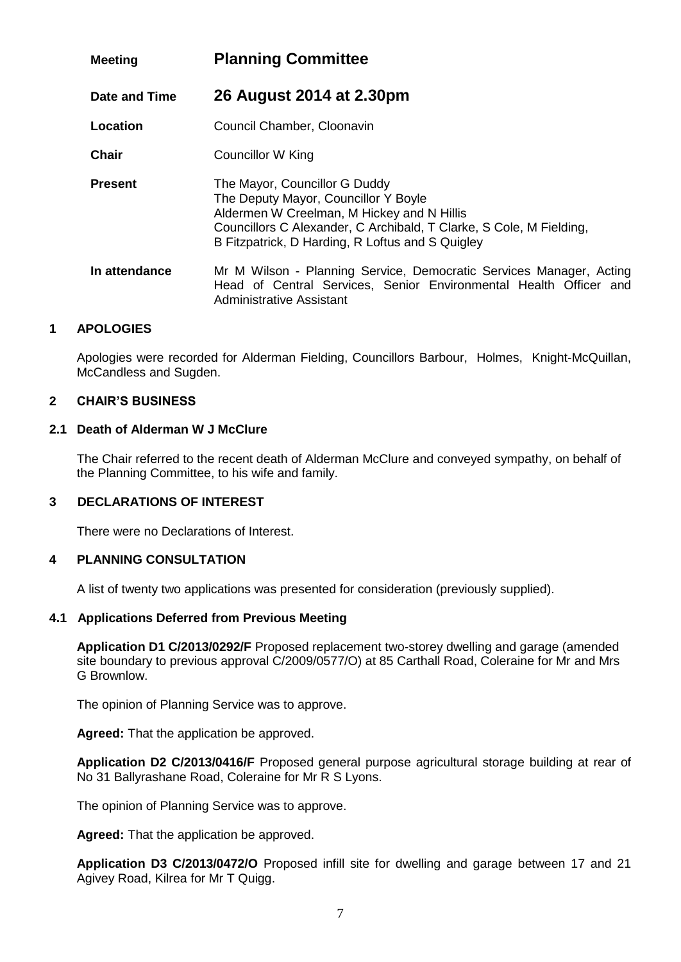| <b>Meeting</b> | <b>Planning Committee</b>                                                                                                                                                                                                                      |
|----------------|------------------------------------------------------------------------------------------------------------------------------------------------------------------------------------------------------------------------------------------------|
| Date and Time  | 26 August 2014 at 2.30pm                                                                                                                                                                                                                       |
| Location       | Council Chamber, Cloonavin                                                                                                                                                                                                                     |
| <b>Chair</b>   | Councillor W King                                                                                                                                                                                                                              |
| <b>Present</b> | The Mayor, Councillor G Duddy<br>The Deputy Mayor, Councillor Y Boyle<br>Aldermen W Creelman, M Hickey and N Hillis<br>Councillors C Alexander, C Archibald, T Clarke, S Cole, M Fielding,<br>B Fitzpatrick, D Harding, R Loftus and S Quigley |
| In attendance  | Mr M Wilson - Planning Service, Democratic Services Manager, Acting<br>Head of Central Services, Senior Environmental Health Officer and<br>Administrative Assistant                                                                           |

Apologies were recorded for Alderman Fielding, Councillors Barbour, Holmes, Knight-McQuillan, McCandless and Sugden.

### **2 CHAIR'S BUSINESS**

### **2.1 Death of Alderman W J McClure**

The Chair referred to the recent death of Alderman McClure and conveyed sympathy, on behalf of the Planning Committee, to his wife and family.

### **3 DECLARATIONS OF INTEREST**

There were no Declarations of Interest.

### **4 PLANNING CONSULTATION**

A list of twenty two applications was presented for consideration (previously supplied).

#### **4.1 Applications Deferred from Previous Meeting**

**Application D1 C/2013/0292/F** Proposed replacement two-storey dwelling and garage (amended site boundary to previous approval C/2009/0577/O) at 85 Carthall Road, Coleraine for Mr and Mrs G Brownlow.

The opinion of Planning Service was to approve.

**Agreed:** That the application be approved.

**Application D2 C/2013/0416/F** Proposed general purpose agricultural storage building at rear of No 31 Ballyrashane Road, Coleraine for Mr R S Lyons.

The opinion of Planning Service was to approve.

**Agreed:** That the application be approved.

**Application D3 C/2013/0472/O** Proposed infill site for dwelling and garage between 17 and 21 Agivey Road, Kilrea for Mr T Quigg.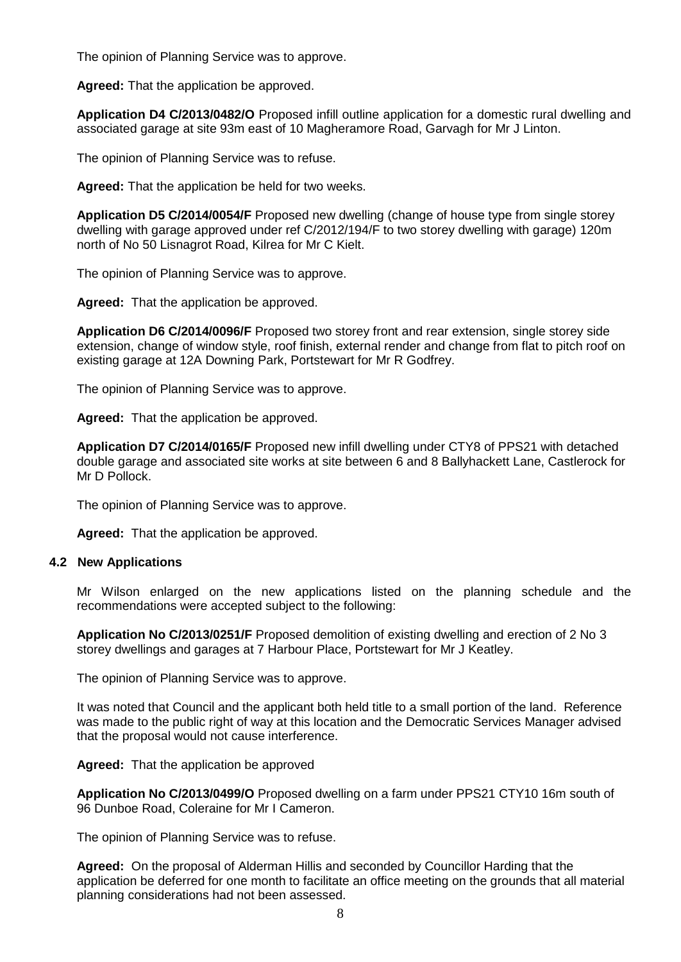The opinion of Planning Service was to approve.

**Agreed:** That the application be approved.

**Application D4 C/2013/0482/O** Proposed infill outline application for a domestic rural dwelling and associated garage at site 93m east of 10 Magheramore Road, Garvagh for Mr J Linton.

The opinion of Planning Service was to refuse.

**Agreed:** That the application be held for two weeks.

**Application D5 C/2014/0054/F** Proposed new dwelling (change of house type from single storey dwelling with garage approved under ref C/2012/194/F to two storey dwelling with garage) 120m north of No 50 Lisnagrot Road, Kilrea for Mr C Kielt.

The opinion of Planning Service was to approve.

**Agreed:** That the application be approved.

**Application D6 C/2014/0096/F** Proposed two storey front and rear extension, single storey side extension, change of window style, roof finish, external render and change from flat to pitch roof on existing garage at 12A Downing Park, Portstewart for Mr R Godfrey.

The opinion of Planning Service was to approve.

**Agreed:** That the application be approved.

**Application D7 C/2014/0165/F** Proposed new infill dwelling under CTY8 of PPS21 with detached double garage and associated site works at site between 6 and 8 Ballyhackett Lane, Castlerock for Mr D Pollock.

The opinion of Planning Service was to approve.

**Agreed:** That the application be approved.

#### **4.2 New Applications**

Mr Wilson enlarged on the new applications listed on the planning schedule and the recommendations were accepted subject to the following:

**Application No C/2013/0251/F** Proposed demolition of existing dwelling and erection of 2 No 3 storey dwellings and garages at 7 Harbour Place, Portstewart for Mr J Keatley.

The opinion of Planning Service was to approve.

It was noted that Council and the applicant both held title to a small portion of the land. Reference was made to the public right of way at this location and the Democratic Services Manager advised that the proposal would not cause interference.

**Agreed:** That the application be approved

**Application No C/2013/0499/O** Proposed dwelling on a farm under PPS21 CTY10 16m south of 96 Dunboe Road, Coleraine for Mr I Cameron.

The opinion of Planning Service was to refuse.

**Agreed:** On the proposal of Alderman Hillis and seconded by Councillor Harding that the application be deferred for one month to facilitate an office meeting on the grounds that all material planning considerations had not been assessed.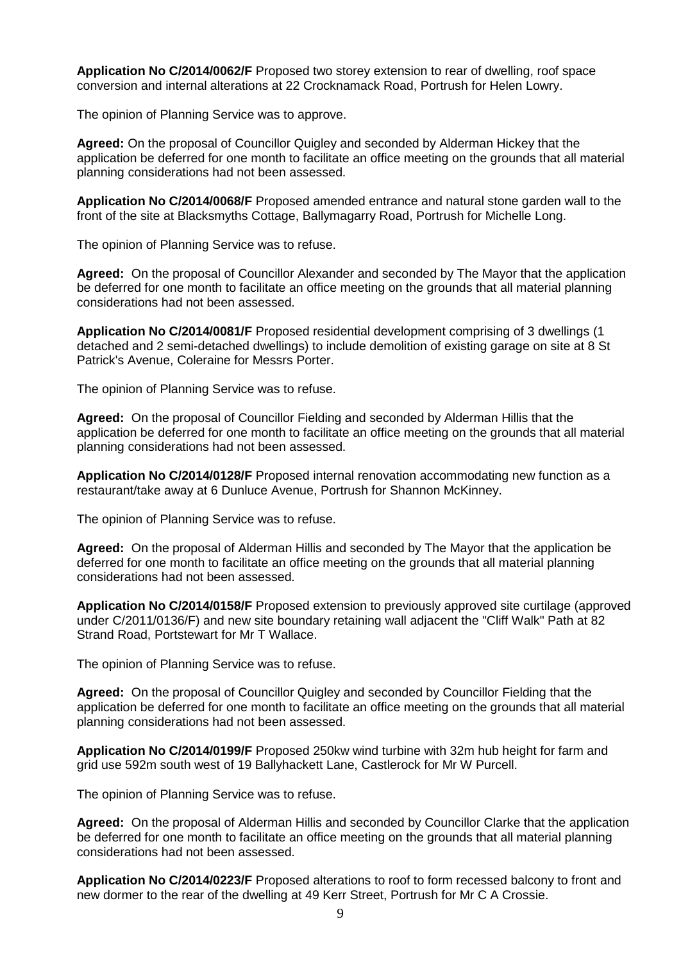**Application No C/2014/0062/F** Proposed two storey extension to rear of dwelling, roof space conversion and internal alterations at 22 Crocknamack Road, Portrush for Helen Lowry.

The opinion of Planning Service was to approve.

**Agreed:** On the proposal of Councillor Quigley and seconded by Alderman Hickey that the application be deferred for one month to facilitate an office meeting on the grounds that all material planning considerations had not been assessed.

**Application No C/2014/0068/F** Proposed amended entrance and natural stone garden wall to the front of the site at Blacksmyths Cottage, Ballymagarry Road, Portrush for Michelle Long.

The opinion of Planning Service was to refuse.

**Agreed:** On the proposal of Councillor Alexander and seconded by The Mayor that the application be deferred for one month to facilitate an office meeting on the grounds that all material planning considerations had not been assessed.

**Application No C/2014/0081/F** Proposed residential development comprising of 3 dwellings (1 detached and 2 semi-detached dwellings) to include demolition of existing garage on site at 8 St Patrick's Avenue, Coleraine for Messrs Porter.

The opinion of Planning Service was to refuse.

**Agreed:** On the proposal of Councillor Fielding and seconded by Alderman Hillis that the application be deferred for one month to facilitate an office meeting on the grounds that all material planning considerations had not been assessed.

**Application No C/2014/0128/F** Proposed internal renovation accommodating new function as a restaurant/take away at 6 Dunluce Avenue, Portrush for Shannon McKinney.

The opinion of Planning Service was to refuse.

**Agreed:** On the proposal of Alderman Hillis and seconded by The Mayor that the application be deferred for one month to facilitate an office meeting on the grounds that all material planning considerations had not been assessed.

**Application No C/2014/0158/F** Proposed extension to previously approved site curtilage (approved under C/2011/0136/F) and new site boundary retaining wall adjacent the "Cliff Walk" Path at 82 Strand Road, Portstewart for Mr T Wallace.

The opinion of Planning Service was to refuse.

**Agreed:** On the proposal of Councillor Quigley and seconded by Councillor Fielding that the application be deferred for one month to facilitate an office meeting on the grounds that all material planning considerations had not been assessed.

**Application No C/2014/0199/F** Proposed 250kw wind turbine with 32m hub height for farm and grid use 592m south west of 19 Ballyhackett Lane, Castlerock for Mr W Purcell.

The opinion of Planning Service was to refuse.

**Agreed:** On the proposal of Alderman Hillis and seconded by Councillor Clarke that the application be deferred for one month to facilitate an office meeting on the grounds that all material planning considerations had not been assessed.

**Application No C/2014/0223/F** Proposed alterations to roof to form recessed balcony to front and new dormer to the rear of the dwelling at 49 Kerr Street, Portrush for Mr C A Crossie.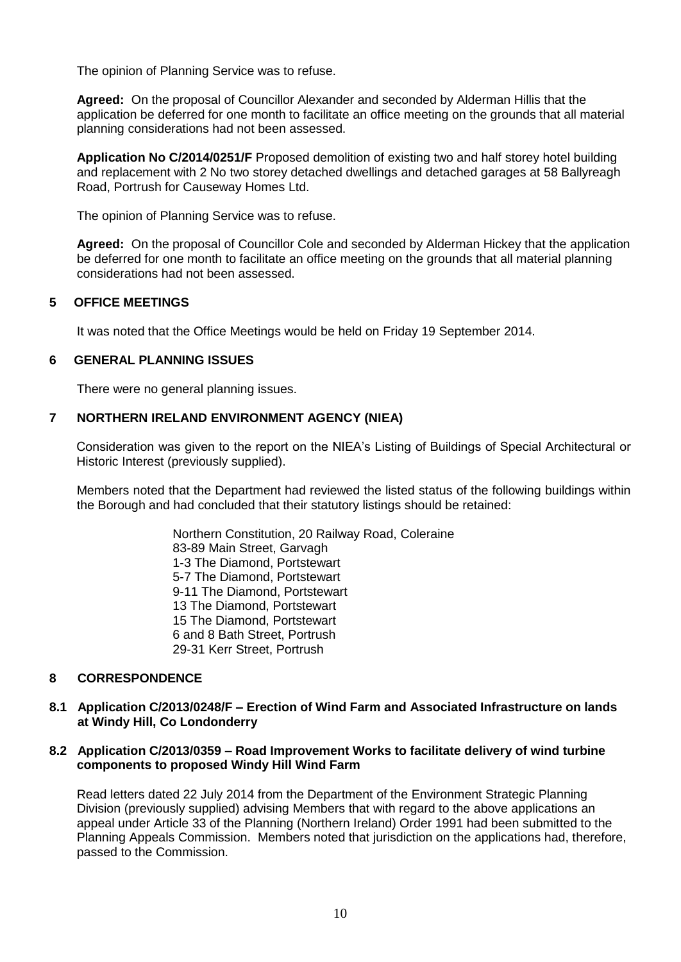The opinion of Planning Service was to refuse.

**Agreed:** On the proposal of Councillor Alexander and seconded by Alderman Hillis that the application be deferred for one month to facilitate an office meeting on the grounds that all material planning considerations had not been assessed.

**Application No C/2014/0251/F** Proposed demolition of existing two and half storey hotel building and replacement with 2 No two storey detached dwellings and detached garages at 58 Ballyreagh Road, Portrush for Causeway Homes Ltd.

The opinion of Planning Service was to refuse.

**Agreed:** On the proposal of Councillor Cole and seconded by Alderman Hickey that the application be deferred for one month to facilitate an office meeting on the grounds that all material planning considerations had not been assessed.

### **5 OFFICE MEETINGS**

It was noted that the Office Meetings would be held on Friday 19 September 2014.

### **6 GENERAL PLANNING ISSUES**

There were no general planning issues.

### **7 NORTHERN IRELAND ENVIRONMENT AGENCY (NIEA)**

Consideration was given to the report on the NIEA's Listing of Buildings of Special Architectural or Historic Interest (previously supplied).

Members noted that the Department had reviewed the listed status of the following buildings within the Borough and had concluded that their statutory listings should be retained:

> Northern Constitution, 20 Railway Road, Coleraine 83-89 Main Street, Garvagh 1-3 The Diamond, Portstewart 5-7 The Diamond, Portstewart 9-11 The Diamond, Portstewart 13 The Diamond, Portstewart 15 The Diamond, Portstewart 6 and 8 Bath Street, Portrush 29-31 Kerr Street, Portrush

### **8 CORRESPONDENCE**

### **8.1 Application C/2013/0248/F – Erection of Wind Farm and Associated Infrastructure on lands at Windy Hill, Co Londonderry**

### **8.2 Application C/2013/0359 – Road Improvement Works to facilitate delivery of wind turbine components to proposed Windy Hill Wind Farm**

Read letters dated 22 July 2014 from the Department of the Environment Strategic Planning Division (previously supplied) advising Members that with regard to the above applications an appeal under Article 33 of the Planning (Northern Ireland) Order 1991 had been submitted to the Planning Appeals Commission. Members noted that jurisdiction on the applications had, therefore, passed to the Commission.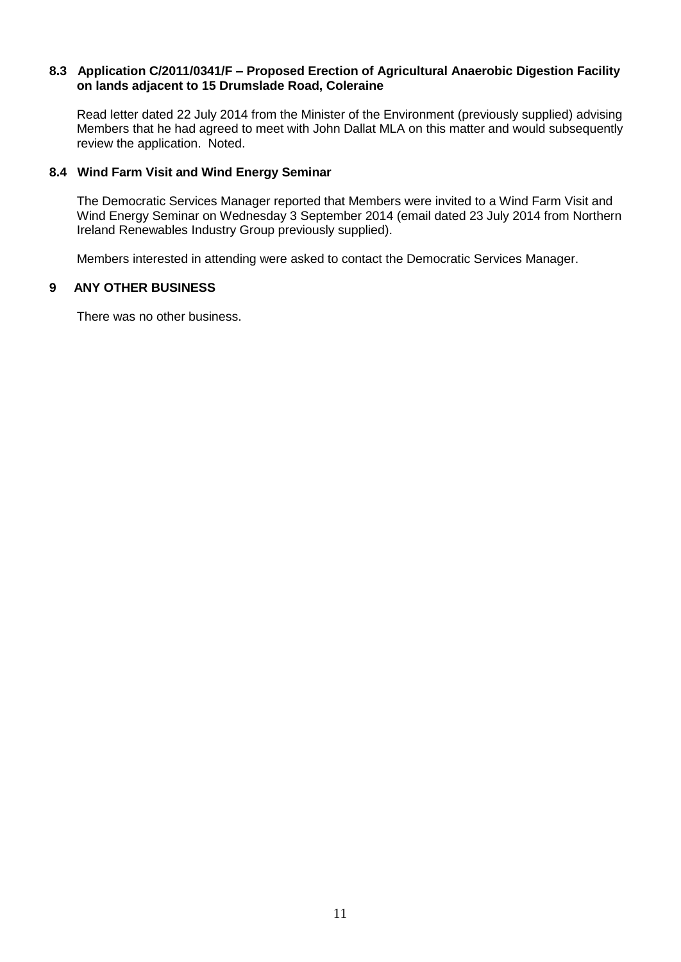### **8.3 Application C/2011/0341/F – Proposed Erection of Agricultural Anaerobic Digestion Facility on lands adjacent to 15 Drumslade Road, Coleraine**

Read letter dated 22 July 2014 from the Minister of the Environment (previously supplied) advising Members that he had agreed to meet with John Dallat MLA on this matter and would subsequently review the application. Noted.

## **8.4 Wind Farm Visit and Wind Energy Seminar**

The Democratic Services Manager reported that Members were invited to a Wind Farm Visit and Wind Energy Seminar on Wednesday 3 September 2014 (email dated 23 July 2014 from Northern Ireland Renewables Industry Group previously supplied).

Members interested in attending were asked to contact the Democratic Services Manager.

### **9 ANY OTHER BUSINESS**

There was no other business.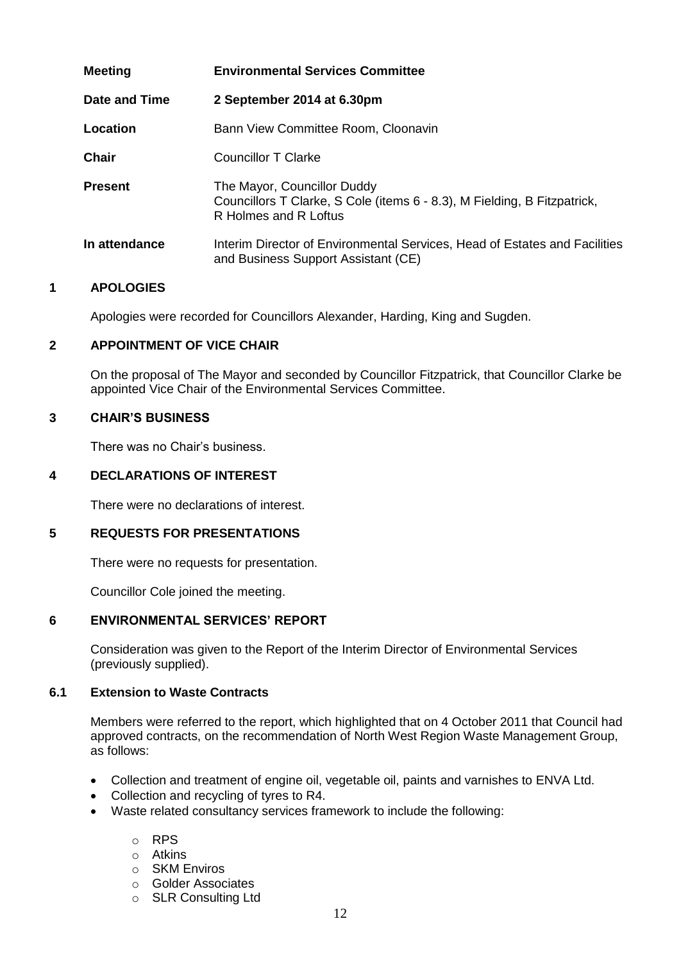| <b>Meeting</b> | <b>Environmental Services Committee</b>                                                                                          |
|----------------|----------------------------------------------------------------------------------------------------------------------------------|
| Date and Time  | 2 September 2014 at 6.30pm                                                                                                       |
| Location       | Bann View Committee Room, Cloonavin                                                                                              |
| <b>Chair</b>   | Councillor T Clarke                                                                                                              |
| <b>Present</b> | The Mayor, Councillor Duddy<br>Councillors T Clarke, S Cole (items 6 - 8.3), M Fielding, B Fitzpatrick,<br>R Holmes and R Loftus |
| In attendance  | Interim Director of Environmental Services, Head of Estates and Facilities<br>and Business Support Assistant (CE)                |

Apologies were recorded for Councillors Alexander, Harding, King and Sugden.

## **2 APPOINTMENT OF VICE CHAIR**

On the proposal of The Mayor and seconded by Councillor Fitzpatrick, that Councillor Clarke be appointed Vice Chair of the Environmental Services Committee.

### **3 CHAIR'S BUSINESS**

There was no Chair's business.

### **4 DECLARATIONS OF INTEREST**

There were no declarations of interest.

### **5 REQUESTS FOR PRESENTATIONS**

There were no requests for presentation.

Councillor Cole joined the meeting.

### **6 ENVIRONMENTAL SERVICES' REPORT**

Consideration was given to the Report of the Interim Director of Environmental Services (previously supplied).

#### **6.1 Extension to Waste Contracts**

Members were referred to the report, which highlighted that on 4 October 2011 that Council had approved contracts, on the recommendation of North West Region Waste Management Group, as follows:

- Collection and treatment of engine oil, vegetable oil, paints and varnishes to ENVA Ltd.
- Collection and recycling of tyres to R4.
- Waste related consultancy services framework to include the following:
	- o RPS
	- o Atkins
	- o SKM Enviros
	- o Golder Associates o SLR Consulting Ltd
- 12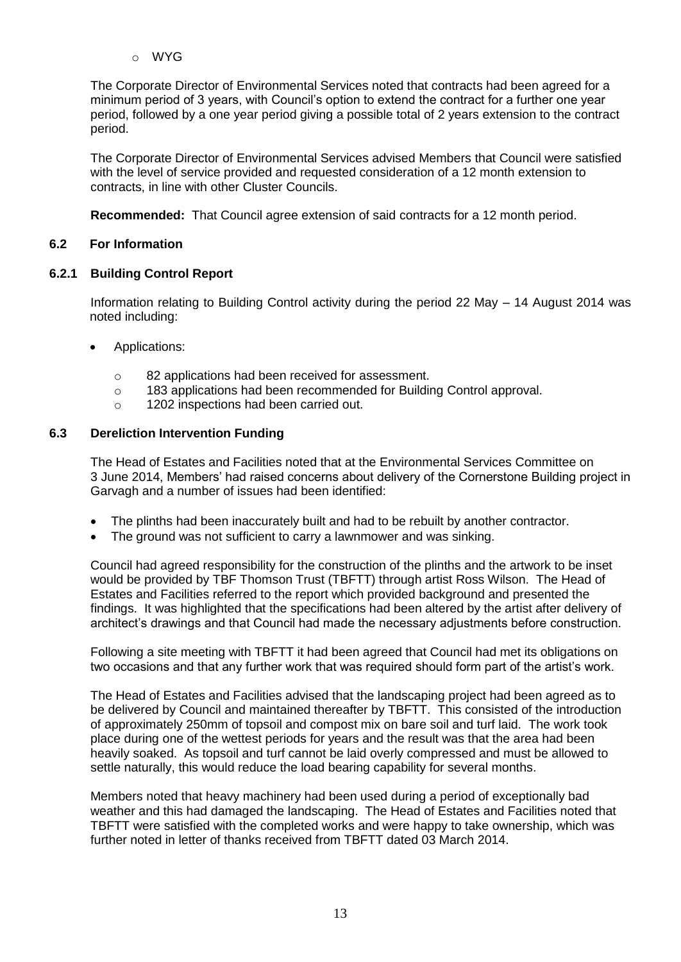o WYG

The Corporate Director of Environmental Services noted that contracts had been agreed for a minimum period of 3 years, with Council's option to extend the contract for a further one year period, followed by a one year period giving a possible total of 2 years extension to the contract period.

The Corporate Director of Environmental Services advised Members that Council were satisfied with the level of service provided and requested consideration of a 12 month extension to contracts, in line with other Cluster Councils.

**Recommended:** That Council agree extension of said contracts for a 12 month period.

## **6.2 For Information**

## **6.2.1 Building Control Report**

Information relating to Building Control activity during the period 22 May – 14 August 2014 was noted including:

- Applications:
	- o 82 applications had been received for assessment.
	- o 183 applications had been recommended for Building Control approval.
	- o 1202 inspections had been carried out.

## **6.3 Dereliction Intervention Funding**

The Head of Estates and Facilities noted that at the Environmental Services Committee on 3 June 2014, Members' had raised concerns about delivery of the Cornerstone Building project in Garvagh and a number of issues had been identified:

- The plinths had been inaccurately built and had to be rebuilt by another contractor.
- The ground was not sufficient to carry a lawnmower and was sinking.

Council had agreed responsibility for the construction of the plinths and the artwork to be inset would be provided by TBF Thomson Trust (TBFTT) through artist Ross Wilson. The Head of Estates and Facilities referred to the report which provided background and presented the findings. It was highlighted that the specifications had been altered by the artist after delivery of architect's drawings and that Council had made the necessary adjustments before construction.

Following a site meeting with TBFTT it had been agreed that Council had met its obligations on two occasions and that any further work that was required should form part of the artist's work.

The Head of Estates and Facilities advised that the landscaping project had been agreed as to be delivered by Council and maintained thereafter by TBFTT. This consisted of the introduction of approximately 250mm of topsoil and compost mix on bare soil and turf laid. The work took place during one of the wettest periods for years and the result was that the area had been heavily soaked. As topsoil and turf cannot be laid overly compressed and must be allowed to settle naturally, this would reduce the load bearing capability for several months.

Members noted that heavy machinery had been used during a period of exceptionally bad weather and this had damaged the landscaping. The Head of Estates and Facilities noted that TBFTT were satisfied with the completed works and were happy to take ownership, which was further noted in letter of thanks received from TBFTT dated 03 March 2014.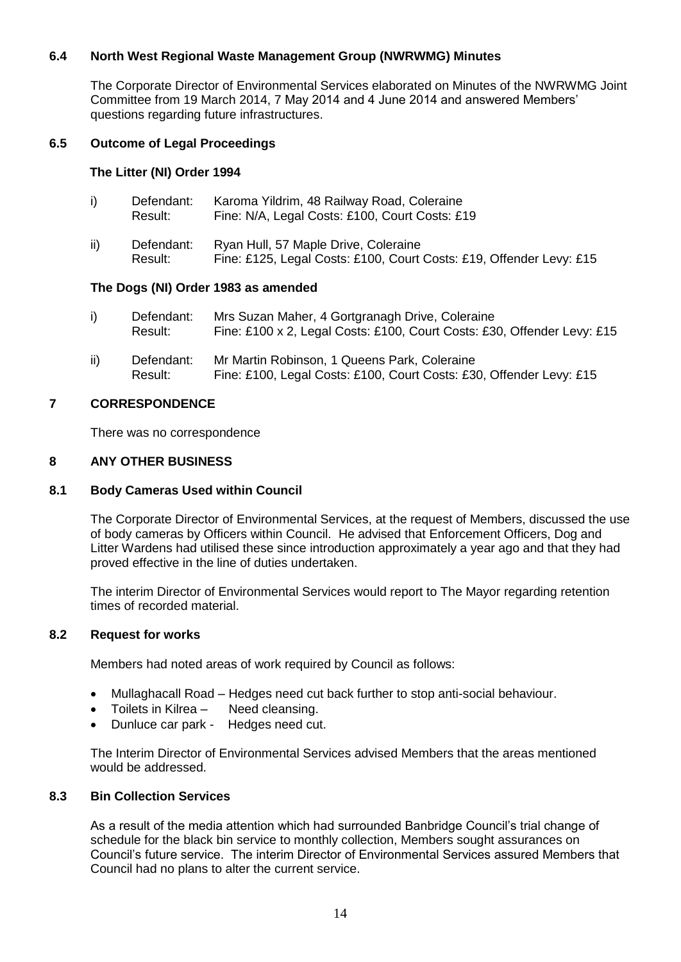## **6.4 North West Regional Waste Management Group (NWRWMG) Minutes**

The Corporate Director of Environmental Services elaborated on Minutes of the NWRWMG Joint Committee from 19 March 2014, 7 May 2014 and 4 June 2014 and answered Members' questions regarding future infrastructures.

## **6.5 Outcome of Legal Proceedings**

### **The Litter (NI) Order 1994**

| i)  | Defendant:<br>Result: | Karoma Yildrim, 48 Railway Road, Coleraine<br>Fine: N/A, Legal Costs: £100, Court Costs: £19                |
|-----|-----------------------|-------------------------------------------------------------------------------------------------------------|
| ii) | Defendant:<br>Result: | Ryan Hull, 57 Maple Drive, Coleraine<br>Fine: £125, Legal Costs: £100, Court Costs: £19, Offender Levy: £15 |

### **The Dogs (NI) Order 1983 as amended**

| Defendant: | Mrs Suzan Maher, 4 Gortgranagh Drive, Coleraine                         |
|------------|-------------------------------------------------------------------------|
| Result:    | Fine: £100 x 2, Legal Costs: £100, Court Costs: £30, Offender Levy: £15 |

ii) Defendant: Mr Martin Robinson, 1 Queens Park, Coleraine Result: Fine: £100, Legal Costs: £100, Court Costs: £30, Offender Levy: £15

### **7 CORRESPONDENCE**

There was no correspondence

### **8 ANY OTHER BUSINESS**

#### **8.1 Body Cameras Used within Council**

The Corporate Director of Environmental Services, at the request of Members, discussed the use of body cameras by Officers within Council. He advised that Enforcement Officers, Dog and Litter Wardens had utilised these since introduction approximately a year ago and that they had proved effective in the line of duties undertaken.

The interim Director of Environmental Services would report to The Mayor regarding retention times of recorded material.

### **8.2 Request for works**

Members had noted areas of work required by Council as follows:

- Mullaghacall Road Hedges need cut back further to stop anti-social behaviour.
- Toilets in Kilrea Need cleansing.
- Dunluce car park Hedges need cut.

The Interim Director of Environmental Services advised Members that the areas mentioned would be addressed.

### **8.3 Bin Collection Services**

As a result of the media attention which had surrounded Banbridge Council's trial change of schedule for the black bin service to monthly collection, Members sought assurances on Council's future service. The interim Director of Environmental Services assured Members that Council had no plans to alter the current service.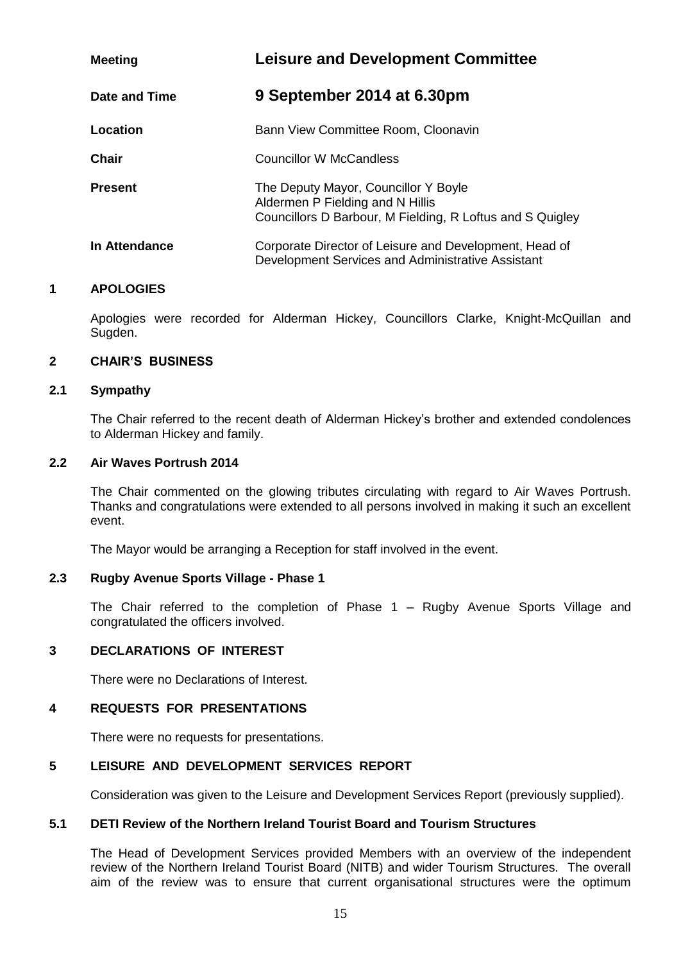| <b>Meeting</b> | <b>Leisure and Development Committee</b>                                                                                              |
|----------------|---------------------------------------------------------------------------------------------------------------------------------------|
| Date and Time  | 9 September 2014 at 6.30pm                                                                                                            |
| Location       | Bann View Committee Room, Cloonavin                                                                                                   |
| Chair          | <b>Councillor W McCandless</b>                                                                                                        |
| <b>Present</b> | The Deputy Mayor, Councillor Y Boyle<br>Aldermen P Fielding and N Hillis<br>Councillors D Barbour, M Fielding, R Loftus and S Quigley |
| In Attendance  | Corporate Director of Leisure and Development, Head of<br>Development Services and Administrative Assistant                           |

Apologies were recorded for Alderman Hickey, Councillors Clarke, Knight-McQuillan and Sugden.

#### **2 CHAIR'S BUSINESS**

#### **2.1 Sympathy**

The Chair referred to the recent death of Alderman Hickey's brother and extended condolences to Alderman Hickey and family.

### **2.2 Air Waves Portrush 2014**

The Chair commented on the glowing tributes circulating with regard to Air Waves Portrush. Thanks and congratulations were extended to all persons involved in making it such an excellent event.

The Mayor would be arranging a Reception for staff involved in the event.

#### **2.3 Rugby Avenue Sports Village - Phase 1**

The Chair referred to the completion of Phase 1 – Rugby Avenue Sports Village and congratulated the officers involved.

#### **3 DECLARATIONS OF INTEREST**

There were no Declarations of Interest.

### **4 REQUESTS FOR PRESENTATIONS**

There were no requests for presentations.

#### **5 LEISURE AND DEVELOPMENT SERVICES REPORT**

Consideration was given to the Leisure and Development Services Report (previously supplied).

### **5.1 DETI Review of the Northern Ireland Tourist Board and Tourism Structures**

The Head of Development Services provided Members with an overview of the independent review of the Northern Ireland Tourist Board (NITB) and wider Tourism Structures. The overall aim of the review was to ensure that current organisational structures were the optimum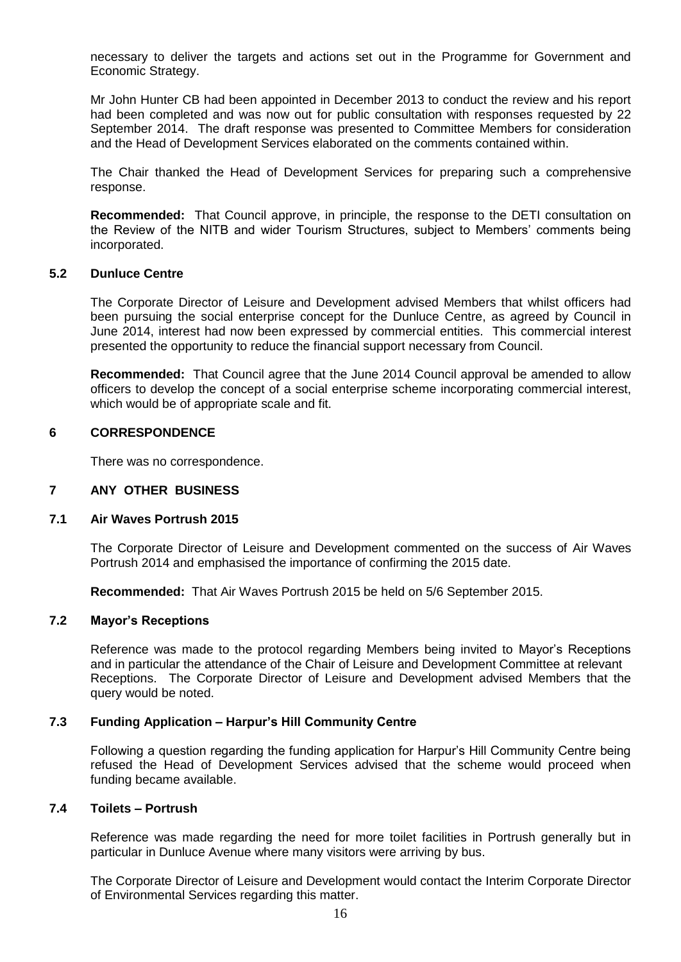necessary to deliver the targets and actions set out in the Programme for Government and Economic Strategy.

Mr John Hunter CB had been appointed in December 2013 to conduct the review and his report had been completed and was now out for public consultation with responses requested by 22 September 2014. The draft response was presented to Committee Members for consideration and the Head of Development Services elaborated on the comments contained within.

The Chair thanked the Head of Development Services for preparing such a comprehensive response.

**Recommended:** That Council approve, in principle, the response to the DETI consultation on the Review of the NITB and wider Tourism Structures, subject to Members' comments being incorporated.

#### **5.2 Dunluce Centre**

The Corporate Director of Leisure and Development advised Members that whilst officers had been pursuing the social enterprise concept for the Dunluce Centre, as agreed by Council in June 2014, interest had now been expressed by commercial entities. This commercial interest presented the opportunity to reduce the financial support necessary from Council.

**Recommended:** That Council agree that the June 2014 Council approval be amended to allow officers to develop the concept of a social enterprise scheme incorporating commercial interest, which would be of appropriate scale and fit.

### **6 CORRESPONDENCE**

There was no correspondence.

#### **7 ANY OTHER BUSINESS**

### **7.1 Air Waves Portrush 2015**

The Corporate Director of Leisure and Development commented on the success of Air Waves Portrush 2014 and emphasised the importance of confirming the 2015 date.

**Recommended:** That Air Waves Portrush 2015 be held on 5/6 September 2015.

#### **7.2 Mayor's Receptions**

Reference was made to the protocol regarding Members being invited to Mayor's Receptions and in particular the attendance of the Chair of Leisure and Development Committee at relevant Receptions. The Corporate Director of Leisure and Development advised Members that the query would be noted.

#### **7.3 Funding Application – Harpur's Hill Community Centre**

Following a question regarding the funding application for Harpur's Hill Community Centre being refused the Head of Development Services advised that the scheme would proceed when funding became available.

#### **7.4 Toilets – Portrush**

Reference was made regarding the need for more toilet facilities in Portrush generally but in particular in Dunluce Avenue where many visitors were arriving by bus.

The Corporate Director of Leisure and Development would contact the Interim Corporate Director of Environmental Services regarding this matter.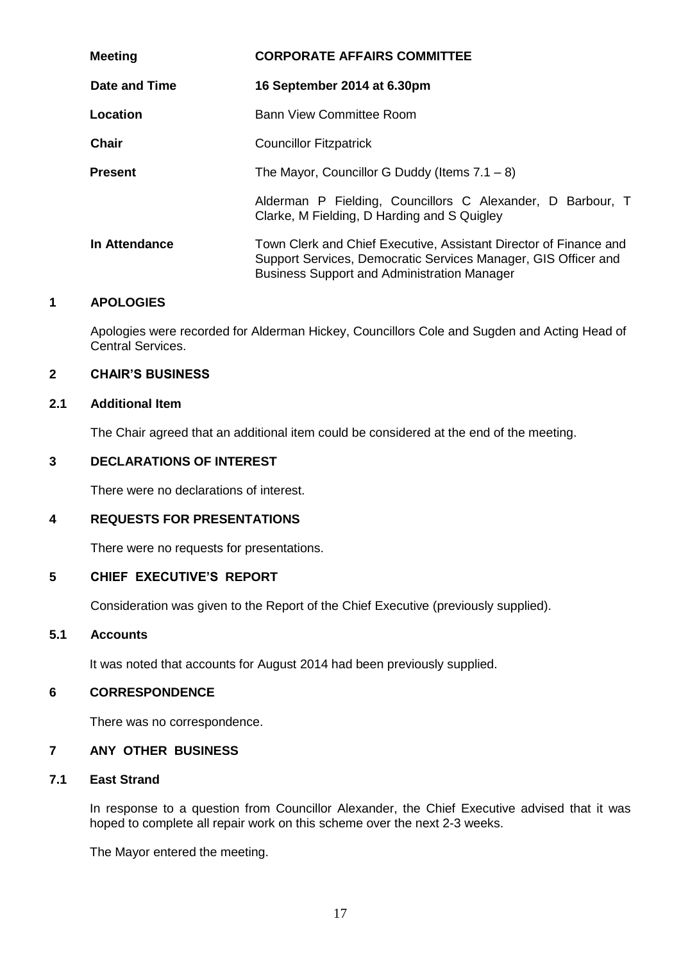| <b>Meeting</b> | <b>CORPORATE AFFAIRS COMMITTEE</b>                                                                                                                                                        |
|----------------|-------------------------------------------------------------------------------------------------------------------------------------------------------------------------------------------|
| Date and Time  | 16 September 2014 at 6.30pm                                                                                                                                                               |
| Location       | Bann View Committee Room                                                                                                                                                                  |
| <b>Chair</b>   | <b>Councillor Fitzpatrick</b>                                                                                                                                                             |
| <b>Present</b> | The Mayor, Councillor G Duddy (Items $7.1 - 8$ )                                                                                                                                          |
|                | Alderman P Fielding, Councillors C Alexander, D Barbour, T<br>Clarke, M Fielding, D Harding and S Quigley                                                                                 |
| In Attendance  | Town Clerk and Chief Executive, Assistant Director of Finance and<br>Support Services, Democratic Services Manager, GIS Officer and<br><b>Business Support and Administration Manager</b> |

Apologies were recorded for Alderman Hickey, Councillors Cole and Sugden and Acting Head of Central Services.

### **2 CHAIR'S BUSINESS**

### **2.1 Additional Item**

The Chair agreed that an additional item could be considered at the end of the meeting.

### **3 DECLARATIONS OF INTEREST**

There were no declarations of interest.

### **4 REQUESTS FOR PRESENTATIONS**

There were no requests for presentations.

### **5 CHIEF EXECUTIVE'S REPORT**

Consideration was given to the Report of the Chief Executive (previously supplied).

## **5.1 Accounts**

It was noted that accounts for August 2014 had been previously supplied.

### **6 CORRESPONDENCE**

There was no correspondence.

## **7 ANY OTHER BUSINESS**

### **7.1 East Strand**

In response to a question from Councillor Alexander, the Chief Executive advised that it was hoped to complete all repair work on this scheme over the next 2-3 weeks.

The Mayor entered the meeting.